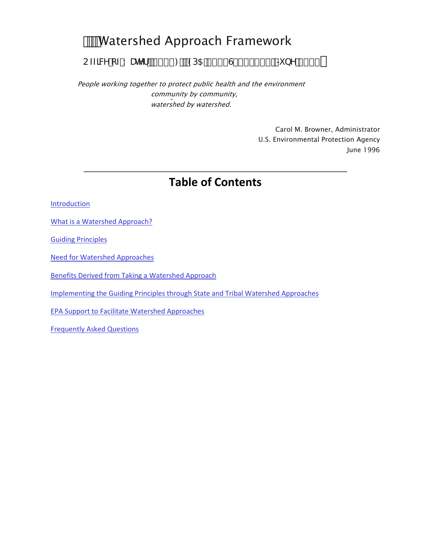## Watershed Approach Framework

 $CZ/$ W  $CZ$ K UhYf f() \$%  $tZ$  9D5, (\$! G - \*! \$\$% $z$  \ bY % - \*  $\cdot$ 

People working together to protect public health and the environment watershed by watershed. community by community,

> Carol M. Browner, Administrator U.S. Environmental Protection Agency June 1996

## **Table of Contents**

[Introduction](#page-1-0)

[What is a Watershed Approach?](#page-1-1)

[Guiding Principles](#page-1-2)

[Need for Watershed Approaches](#page-2-0)

[Benefits Derived from Taking a Watershed Approach](#page-3-0)

[Implementing the Guiding Principles through State and Tribal Watershed Approaches](#page-4-0)

[EPA Support to Facilitate Watershed Approaches](#page-11-0)

[Frequently Asked Questions](#page-13-0)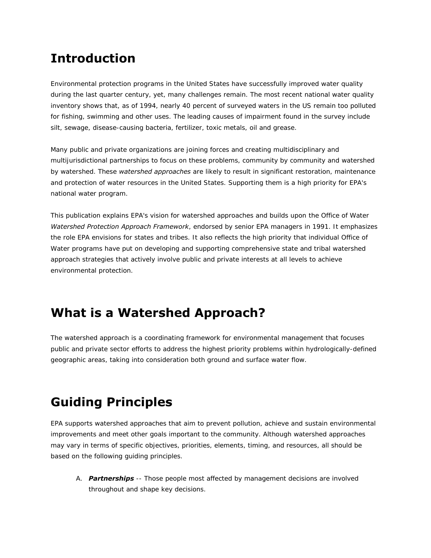# <span id="page-1-0"></span>**Introduction**

Environmental protection programs in the United States have successfully improved water quality during the last quarter century, yet, many challenges remain. The most recent national water quality inventory shows that, as of 1994, nearly 40 percent of surveyed waters in the US remain too polluted for fishing, swimming and other uses. The leading causes of impairment found in the survey include silt, sewage, disease-causing bacteria, fertilizer, toxic metals, oil and grease.

Many public and private organizations are joining forces and creating multidisciplinary and multijurisdictional partnerships to focus on these problems, community by community and watershed by watershed. These *watershed approaches* are likely to result in significant restoration, maintenance and protection of water resources in the United States. Supporting them is a high priority for EPA's national water program.

This publication explains EPA's vision for watershed approaches and builds upon the Office of Water *Watershed Protection Approach Framework*, endorsed by senior EPA managers in 1991. It emphasizes the role EPA envisions for states and tribes. It also reflects the high priority that individual Office of Water programs have put on developing and supporting comprehensive state and tribal watershed approach strategies that actively involve public and private interests at all levels to achieve environmental protection.

# <span id="page-1-1"></span>**What is a Watershed Approach?**

The watershed approach is a coordinating framework for environmental management that focuses public and private sector efforts to address the highest priority problems within hydrologically-defined geographic areas, taking into consideration both ground and surface water flow.

# <span id="page-1-2"></span>**Guiding Principles**

EPA supports watershed approaches that aim to prevent pollution, achieve and sustain environmental improvements and meet other goals important to the community. Although watershed approaches may vary in terms of specific objectives, priorities, elements, timing, and resources, all should be based on the following guiding principles.

A. *Partnerships* -- Those people most affected by management decisions are involved throughout and shape key decisions.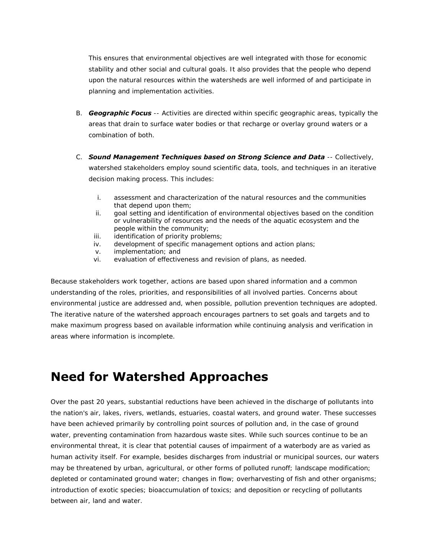This ensures that environmental objectives are well integrated with those for economic stability and other social and cultural goals. It also provides that the people who depend upon the natural resources within the watersheds are well informed of and participate in planning and implementation activities.

- B. *Geographic Focus* -- Activities are directed within specific geographic areas, typically the areas that drain to surface water bodies or that recharge or overlay ground waters or a combination of both.
- C. *Sound Management Techniques based on Strong Science and Data* -- Collectively, watershed stakeholders employ sound scientific data, tools, and techniques in an iterative decision making process. This includes:
	- i. assessment and characterization of the natural resources and the communities that depend upon them;
	- ii. goal setting and identification of environmental objectives based on the condition or vulnerability of resources and the needs of the aquatic ecosystem and the people within the community;
	- iii. identification of priority problems;
	- iv. development of specific management options and action plans;
	- v. implementation; and
	- vi. evaluation of effectiveness and revision of plans, as needed.

Because stakeholders work together, actions are based upon shared information and a common understanding of the roles, priorities, and responsibilities of all involved parties. Concerns about environmental justice are addressed and, when possible, pollution prevention techniques are adopted. The iterative nature of the watershed approach encourages partners to set goals and targets and to make maximum progress based on available information while continuing analysis and verification in areas where information is incomplete.

## <span id="page-2-0"></span>**Need for Watershed Approaches**

Over the past 20 years, substantial reductions have been achieved in the discharge of pollutants into the nation's air, lakes, rivers, wetlands, estuaries, coastal waters, and ground water. These successes have been achieved primarily by controlling point sources of pollution and, in the case of ground water, preventing contamination from hazardous waste sites. While such sources continue to be an environmental threat, it is clear that potential causes of impairment of a waterbody are as varied as human activity itself. For example, besides discharges from industrial or municipal sources, our waters may be threatened by urban, agricultural, or other forms of polluted runoff; landscape modification; depleted or contaminated ground water; changes in flow; overharvesting of fish and other organisms; introduction of exotic species; bioaccumulation of toxics; and deposition or recycling of pollutants between air, land and water.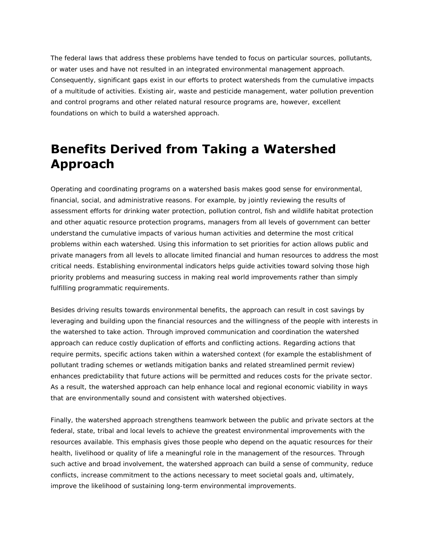The federal laws that address these problems have tended to focus on particular sources, pollutants, or water uses and have not resulted in an integrated environmental management approach. Consequently, significant gaps exist in our efforts to protect watersheds from the cumulative impacts of a multitude of activities. Existing air, waste and pesticide management, water pollution prevention and control programs and other related natural resource programs are, however, excellent foundations on which to build a watershed approach.

## <span id="page-3-0"></span>**Benefits Derived from Taking a Watershed Approach**

Operating and coordinating programs on a watershed basis makes good sense for environmental, financial, social, and administrative reasons. For example, by jointly reviewing the results of assessment efforts for drinking water protection, pollution control, fish and wildlife habitat protection and other aquatic resource protection programs, managers from all levels of government can better understand the cumulative impacts of various human activities and determine the most critical problems within each watershed. Using this information to set priorities for action allows public and private managers from all levels to allocate limited financial and human resources to address the most critical needs. Establishing environmental indicators helps guide activities toward solving those high priority problems and measuring success in making real world improvements rather than simply fulfilling programmatic requirements.

Besides driving results towards environmental benefits, the approach can result in cost savings by leveraging and building upon the financial resources and the willingness of the people with interests in the watershed to take action. Through improved communication and coordination the watershed approach can reduce costly duplication of efforts and conflicting actions. Regarding actions that require permits, specific actions taken within a watershed context (for example the establishment of pollutant trading schemes or wetlands mitigation banks and related streamlined permit review) enhances predictability that future actions will be permitted and reduces costs for the private sector. As a result, the watershed approach can help enhance local and regional economic viability in ways that are environmentally sound and consistent with watershed objectives.

Finally, the watershed approach strengthens teamwork between the public and private sectors at the federal, state, tribal and local levels to achieve the greatest environmental improvements with the resources available. This emphasis gives those people who depend on the aquatic resources for their health, livelihood or quality of life a meaningful role in the management of the resources. Through such active and broad involvement, the watershed approach can build a sense of community, reduce conflicts, increase commitment to the actions necessary to meet societal goals and, ultimately, improve the likelihood of sustaining long-term environmental improvements.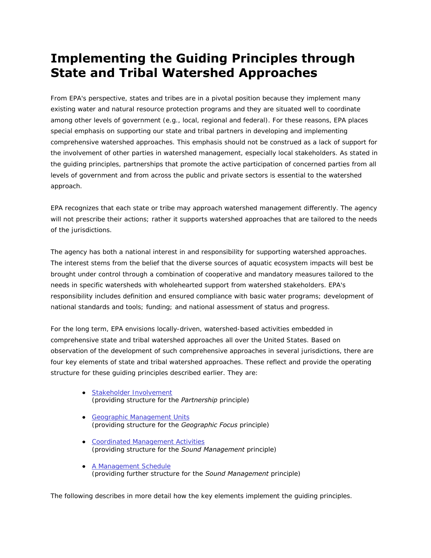## <span id="page-4-0"></span>**Implementing the Guiding Principles through State and Tribal Watershed Approaches**

From EPA's perspective, states and tribes are in a pivotal position because they implement many existing water and natural resource protection programs and they are situated well to coordinate among other levels of government (e.g., local, regional and federal). For these reasons, EPA places special emphasis on supporting our state and tribal partners in developing and implementing comprehensive watershed approaches. This emphasis should not be construed as a lack of support for the involvement of other parties in watershed management, especially local stakeholders. As stated in the guiding principles, partnerships that promote the active participation of concerned parties from all levels of government and from across the public and private sectors is essential to the watershed approach.

EPA recognizes that each state or tribe may approach watershed management differently. The agency will not prescribe their actions; rather it supports watershed approaches that are tailored to the needs of the jurisdictions.

The agency has both a national interest in and responsibility for supporting watershed approaches. The interest stems from the belief that the diverse sources of aquatic ecosystem impacts will best be brought under control through a combination of cooperative and mandatory measures tailored to the needs in specific watersheds with wholehearted support from watershed stakeholders. EPA's responsibility includes definition and ensured compliance with basic water programs; development of national standards and tools; funding; and national assessment of status and progress.

For the long term, EPA envisions locally-driven, watershed-based activities embedded in comprehensive state and tribal watershed approaches all over the United States. Based on observation of the development of such comprehensive approaches in several jurisdictions, there are four key elements of state and tribal watershed approaches. These reflect and provide the operating structure for these guiding principles described earlier. They are:

- **•** [Stakeholder Involvement](#page-5-0) (providing structure for the *Partnership* principle)
- **[Geographic Management Units](#page-5-1)** (providing structure for the *Geographic Focus* principle)
- [Coordinated Management Activities](#page-6-0) (providing structure for the *Sound Management* principle)
- [A Management Schedule](#page-10-0) (providing further structure for the *Sound Management* principle)

The following describes in more detail how the key elements implement the guiding principles.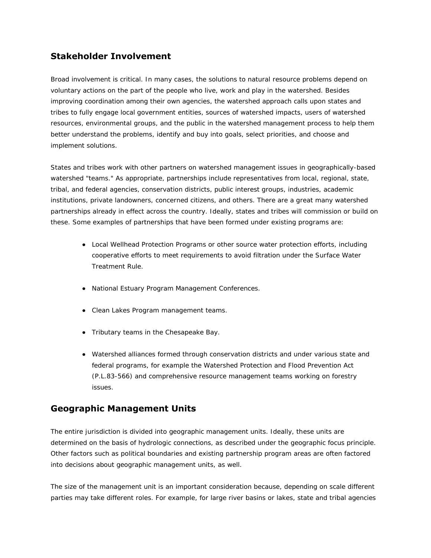### <span id="page-5-0"></span>**Stakeholder Involvement**

Broad involvement is critical. In many cases, the solutions to natural resource problems depend on voluntary actions on the part of the people who live, work and play in the watershed. Besides improving coordination among their own agencies, the watershed approach calls upon states and tribes to fully engage local government entities, sources of watershed impacts, users of watershed resources, environmental groups, and the public in the watershed management process to help them better understand the problems, identify and buy into goals, select priorities, and choose and implement solutions.

States and tribes work with other partners on watershed management issues in geographically-based watershed "teams." As appropriate, partnerships include representatives from local, regional, state, tribal, and federal agencies, conservation districts, public interest groups, industries, academic institutions, private landowners, concerned citizens, and others. There are a great many watershed partnerships already in effect across the country. Ideally, states and tribes will commission or build on these. Some examples of partnerships that have been formed under existing programs are:

- Local Wellhead Protection Programs or other source water protection efforts, including cooperative efforts to meet requirements to avoid filtration under the Surface Water Treatment Rule.
- National Estuary Program Management Conferences.
- Clean Lakes Program management teams.
- Tributary teams in the Chesapeake Bay.
- Watershed alliances formed through conservation districts and under various state and federal programs, for example the Watershed Protection and Flood Prevention Act (P.L.83-566) and comprehensive resource management teams working on forestry issues.

### <span id="page-5-1"></span>**Geographic Management Units**

The entire jurisdiction is divided into geographic management units. Ideally, these units are determined on the basis of hydrologic connections, as described under the geographic focus principle. Other factors such as political boundaries and existing partnership program areas are often factored into decisions about geographic management units, as well.

The size of the management unit is an important consideration because, depending on scale different parties may take different roles. For example, for large river basins or lakes, state and tribal agencies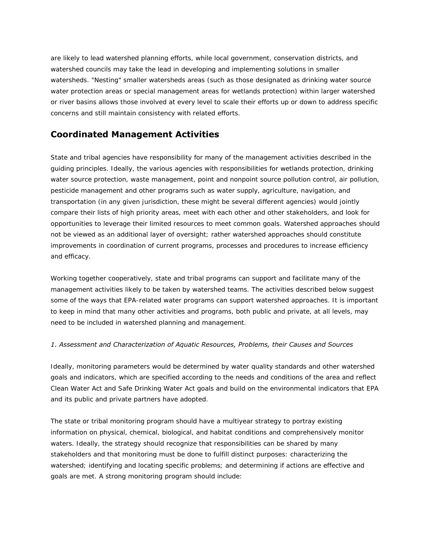are likely to lead watershed planning efforts, while local government, conservation districts, and watershed councils may take the lead in developing and implementing solutions in smaller watersheds. "Nesting" smaller watersheds areas (such as those designated as drinking water source water protection areas or special management areas for wetlands protection) within larger watershed or river basins allows those involved at every level to scale their efforts up or down to address specific concerns and still maintain consistency with related efforts.

### <span id="page-6-0"></span>**Coordinated Management Activities**

State and tribal agencies have responsibility for many of the management activities described in the guiding principles. Ideally, the various agencies with responsibilities for wetlands protection, drinking water source protection, waste management, point and nonpoint source pollution control, air pollution, pesticide management and other programs such as water supply, agriculture, navigation, and transportation (in any given jurisdiction, these might be several different agencies) would jointly compare their lists of high priority areas, meet with each other and other stakeholders, and look for opportunities to leverage their limited resources to meet common goals. Watershed approaches should not be viewed as an additional layer of oversight; rather watershed approaches should constitute improvements in coordination of current programs, processes and procedures to increase efficiency and efficacy.

Working together cooperatively, state and tribal programs can support and facilitate many of the management activities likely to be taken by watershed teams. The activities described below suggest some of the ways that EPA-related water programs can support watershed approaches. It is important to keep in mind that many other activities and programs, both public and private, at all levels, may need to be included in watershed planning and management.

#### <span id="page-6-1"></span>*1. Assessment and Characterization of Aquatic Resources, Problems, their Causes and Sources*

Ideally, monitoring parameters would be determined by water quality standards and other watershed goals and indicators, which are specified according to the needs and conditions of the area and reflect Clean Water Act and Safe Drinking Water Act goals and build on the environmental indicators that EPA and its public and private partners have adopted.

The state or tribal monitoring program should have a multiyear strategy to portray existing information on physical, chemical, biological, and habitat conditions and comprehensively monitor waters. Ideally, the strategy should recognize that responsibilities can be shared by many stakeholders and that monitoring must be done to fulfill distinct purposes: characterizing the watershed; identifying and locating specific problems; and determining if actions are effective and goals are met. A strong monitoring program should include: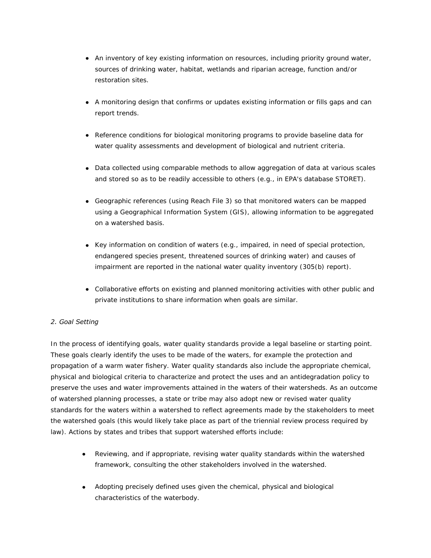- An inventory of key existing information on resources, including priority ground water, sources of drinking water, habitat, wetlands and riparian acreage, function and/or restoration sites.
- A monitoring design that confirms or updates existing information or fills gaps and can report trends.
- Reference conditions for biological monitoring programs to provide baseline data for water quality assessments and development of biological and nutrient criteria.
- Data collected using comparable methods to allow aggregation of data at various scales and stored so as to be readily accessible to others (e.g., in EPA's database STORET).
- Geographic references (using Reach File 3) so that monitored waters can be mapped using a Geographical Information System (GIS), allowing information to be aggregated on a watershed basis.
- $\bullet$  Key information on condition of waters (e.g., impaired, in need of special protection, endangered species present, threatened sources of drinking water) and causes of impairment are reported in the national water quality inventory (305(b) report).
- Collaborative efforts on existing and planned monitoring activities with other public and private institutions to share information when goals are similar.

#### *2. Goal Setting*

In the process of identifying goals, water quality standards provide a legal baseline or starting point. These goals clearly identify the uses to be made of the waters, for example the protection and propagation of a warm water fishery. Water quality standards also include the appropriate chemical, physical and biological criteria to characterize and protect the uses and an antidegradation policy to preserve the uses and water improvements attained in the waters of their watersheds. As an outcome of watershed planning processes, a state or tribe may also adopt new or revised water quality standards for the waters within a watershed to reflect agreements made by the stakeholders to meet the watershed goals (this would likely take place as part of the triennial review process required by law). Actions by states and tribes that support watershed efforts include:

- Reviewing, and if appropriate, revising water quality standards within the watershed framework, consulting the other stakeholders involved in the watershed.
- Adopting precisely defined uses given the chemical, physical and biological characteristics of the waterbody.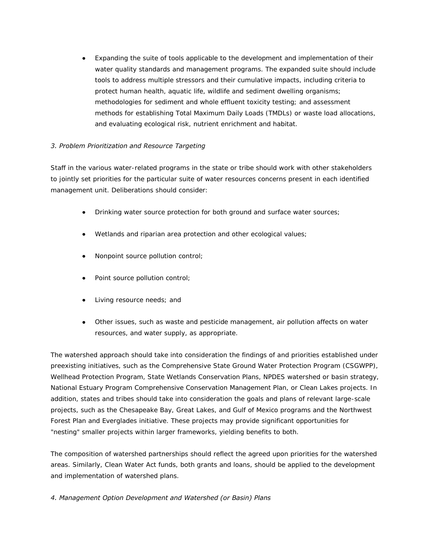Expanding the suite of tools applicable to the development and implementation of their water quality standards and management programs. The expanded suite should include tools to address multiple stressors and their cumulative impacts, including criteria to protect human health, aquatic life, wildlife and sediment dwelling organisms; methodologies for sediment and whole effluent toxicity testing; and assessment methods for establishing Total Maximum Daily Loads (TMDLs) or waste load allocations, and evaluating ecological risk, nutrient enrichment and habitat.

#### *3. Problem Prioritization and Resource Targeting*

Staff in the various water-related programs in the state or tribe should work with other stakeholders to jointly set priorities for the particular suite of water resources concerns present in each identified management unit. Deliberations should consider:

- Drinking water source protection for both ground and surface water sources;
- Wetlands and riparian area protection and other ecological values;
- Nonpoint source pollution control;
- Point source pollution control;
- Living resource needs; and
- Other issues, such as waste and pesticide management, air pollution affects on water resources, and water supply, as appropriate.

The watershed approach should take into consideration the findings of and priorities established under preexisting initiatives, such as the Comprehensive State Ground Water Protection Program (CSGWPP), Wellhead Protection Program, State Wetlands Conservation Plans, NPDES watershed or basin strategy, National Estuary Program Comprehensive Conservation Management Plan, or Clean Lakes projects. In addition, states and tribes should take into consideration the goals and plans of relevant large-scale projects, such as the Chesapeake Bay, Great Lakes, and Gulf of Mexico programs and the Northwest Forest Plan and Everglades initiative. These projects may provide significant opportunities for "nesting" smaller projects within larger frameworks, yielding benefits to both.

The composition of watershed partnerships should reflect the agreed upon priorities for the watershed areas. Similarly, Clean Water Act funds, both grants and loans, should be applied to the development and implementation of watershed plans.

#### *4. Management Option Development and Watershed (or Basin) Plans*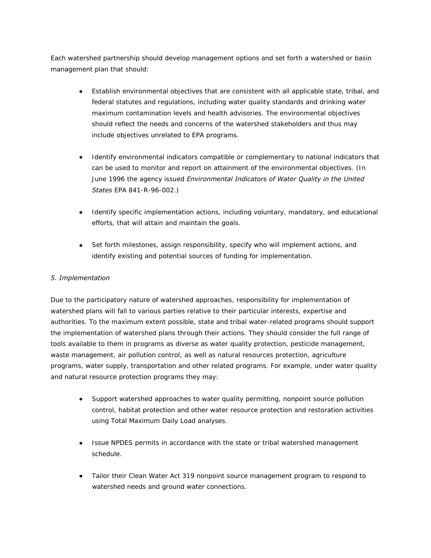Each watershed partnership should develop management options and set forth a watershed or basin management plan that should:

- Establish environmental objectives that are consistent with all applicable state, tribal, and federal statutes and regulations, including water quality standards and drinking water maximum contamination levels and health advisories. The environmental objectives should reflect the needs and concerns of the watershed stakeholders and thus may include objectives unrelated to EPA programs.
- Identify environmental indicators compatible or complementary to national indicators that can be used to monitor and report on attainment of the environmental objectives. (In June 1996 the agency issued *Environmental Indicators of Water Quality in the United States* EPA 841-R-96-002.)
- Identify specific implementation actions, including voluntary, mandatory, and educational efforts, that will attain and maintain the goals.
- Set forth milestones, assign responsibility, specify who will implement actions, and identify existing and potential sources of funding for implementation.

#### *5. Implementation*

Due to the participatory nature of watershed approaches, responsibility for implementation of watershed plans will fall to various parties relative to their particular interests, expertise and authorities. To the maximum extent possible, state and tribal water-related programs should support the implementation of watershed plans through their actions. They should consider the full range of tools available to them in programs as diverse as water quality protection, pesticide management, waste management, air pollution control, as well as natural resources protection, agriculture programs, water supply, transportation and other related programs. For example, under water quality and natural resource protection programs they may:

- Support watershed approaches to water quality permitting, nonpoint source pollution control, habitat protection and other water resource protection and restoration activities using Total Maximum Daily Load analyses.
- Issue NPDES permits in accordance with the state or tribal watershed management schedule.
- Tailor their Clean Water Act 319 nonpoint source management program to respond to watershed needs and ground water connections.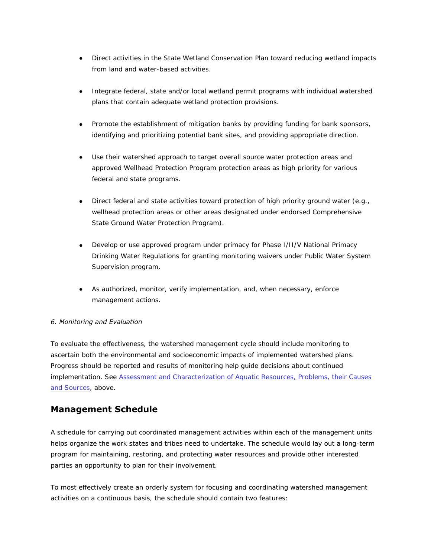- Direct activities in the State Wetland Conservation Plan toward reducing wetland impacts from land and water-based activities.
- Integrate federal, state and/or local wetland permit programs with individual watershed plans that contain adequate wetland protection provisions.
- Promote the establishment of mitigation banks by providing funding for bank sponsors, identifying and prioritizing potential bank sites, and providing appropriate direction.
- Use their watershed approach to target overall source water protection areas and approved Wellhead Protection Program protection areas as high priority for various federal and state programs.
- Direct federal and state activities toward protection of high priority ground water (e.g., wellhead protection areas or other areas designated under endorsed Comprehensive State Ground Water Protection Program).
- Develop or use approved program under primacy for Phase I/II/V National Primacy Drinking Water Regulations for granting monitoring waivers under Public Water System Supervision program.
- As authorized, monitor, verify implementation, and, when necessary, enforce management actions.

#### *6. Monitoring and Evaluation*

To evaluate the effectiveness, the watershed management cycle should include monitoring to ascertain both the environmental and socioeconomic impacts of implemented watershed plans. Progress should be reported and results of monitoring help guide decisions about continued implementation. See [Assessment and Characterization of Aquatic Resources, Problems, their Causes](#page-6-1)  [and Sources,](#page-6-1) above.

### <span id="page-10-0"></span>**Management Schedule**

A schedule for carrying out coordinated management activities within each of the management units helps organize the work states and tribes need to undertake. The schedule would lay out a long-term program for maintaining, restoring, and protecting water resources and provide other interested parties an opportunity to plan for their involvement.

To most effectively create an orderly system for focusing and coordinating watershed management activities on a continuous basis, the schedule should contain two features: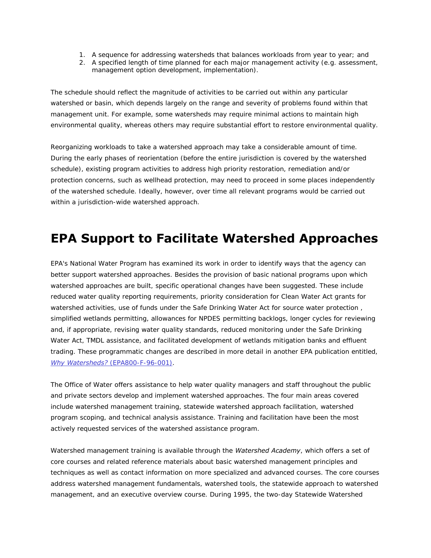- 1. A sequence for addressing watersheds that balances workloads from year to year; and
- 2. A specified length of time planned for each major management activity (e.g. assessment, management option development, implementation).

The schedule should reflect the magnitude of activities to be carried out within any particular watershed or basin, which depends largely on the range and severity of problems found within that management unit. For example, some watersheds may require minimal actions to maintain high environmental quality, whereas others may require substantial effort to restore environmental quality.

Reorganizing workloads to take a watershed approach may take a considerable amount of time. During the early phases of reorientation (before the entire jurisdiction is covered by the watershed schedule), existing program activities to address high priority restoration, remediation and/or protection concerns, such as wellhead protection, may need to proceed in some places independently of the watershed schedule. Ideally, however, over time all relevant programs would be carried out within a jurisdiction-wide watershed approach.

## <span id="page-11-0"></span>**EPA Support to Facilitate Watershed Approaches**

EPA's National Water Program has examined its work in order to identify ways that the agency can better support watershed approaches. Besides the provision of basic national programs upon which watershed approaches are built, specific operational changes have been suggested. These include reduced water quality reporting requirements, priority consideration for Clean Water Act grants for watershed activities, use of funds under the Safe Drinking Water Act for source water protection , simplified wetlands permitting, allowances for NPDES permitting backlogs, longer cycles for reviewing and, if appropriate, revising water quality standards, reduced monitoring under the Safe Drinking Water Act, TMDL assistance, and facilitated development of wetlands mitigation banks and effluent trading. These programmatic changes are described in more detail in another EPA publication entitled, *Why Watersheds?* [\(EPA800-F-96-001\).](http://water.epa.gov/type/watersheds/why.cfm)

The Office of Water offers assistance to help water quality managers and staff throughout the public and private sectors develop and implement watershed approaches. The four main areas covered include watershed management training, statewide watershed approach facilitation, watershed program scoping, and technical analysis assistance. Training and facilitation have been the most actively requested services of the watershed assistance program.

Watershed management training is available through the *Watershed Academy*, which offers a set of core courses and related reference materials about basic watershed management principles and techniques as well as contact information on more specialized and advanced courses. The core courses address watershed management fundamentals, watershed tools, the statewide approach to watershed management, and an executive overview course. During 1995, the two-day Statewide Watershed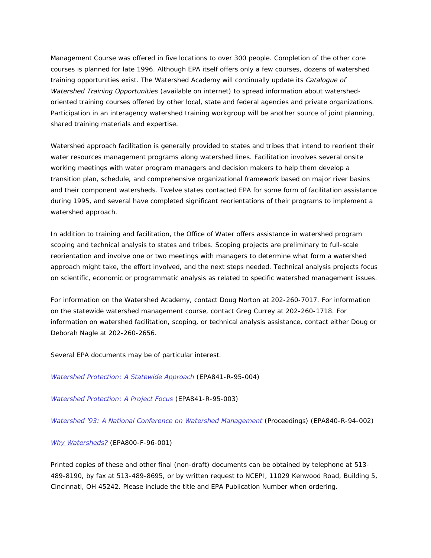Management Course was offered in five locations to over 300 people. Completion of the other core courses is planned for late 1996. Although EPA itself offers only a few courses, dozens of watershed training opportunities exist. The Watershed Academy will continually update its *Catalogue of Watershed Training Opportunities* (available on internet) to spread information about watershedoriented training courses offered by other local, state and federal agencies and private organizations. Participation in an interagency watershed training workgroup will be another source of joint planning, shared training materials and expertise.

Watershed approach facilitation is generally provided to states and tribes that intend to reorient their water resources management programs along watershed lines. Facilitation involves several onsite working meetings with water program managers and decision makers to help them develop a transition plan, schedule, and comprehensive organizational framework based on major river basins and their component watersheds. Twelve states contacted EPA for some form of facilitation assistance during 1995, and several have completed significant reorientations of their programs to implement a watershed approach.

In addition to training and facilitation, the Office of Water offers assistance in watershed program scoping and technical analysis to states and tribes. Scoping projects are preliminary to full-scale reorientation and involve one or two meetings with managers to determine what form a watershed approach might take, the effort involved, and the next steps needed. Technical analysis projects focus on scientific, economic or programmatic analysis as related to specific watershed management issues.

For information on the Watershed Academy, contact Doug Norton at 202-260-7017. For information on the statewide watershed management course, contact Greg Currey at 202-260-1718. For information on watershed facilitation, scoping, or technical analysis assistance, contact either Doug or Deborah Nagle at 202-260-2656.

Several EPA documents may be of particular interest.

*[Watershed Protection: A Statewide Approach](http://water.epa.gov/type/watersheds/statewide.cfm)* (EPA841-R-95-004)

*[Watershed Protection: A Project Focus](http://www.epa.gov/owow/watershed/focus/)* (EPA841-R-95-003)

*[Watershed '93: A National Conference on Watershed Management](http://water.epa.gov/type/watersheds/index.cfm)* (Proceedings) (EPA840-R-94-002)

*[Why Watersheds?](http://water.epa.gov/type/watersheds/why.cfm)* (EPA800-F-96-001)

Printed copies of these and other final (non-draft) documents can be obtained by telephone at 513- 489-8190, by fax at 513-489-8695, or by written request to NCEPI, 11029 Kenwood Road, Building 5, Cincinnati, OH 45242. Please include the title and EPA Publication Number when ordering.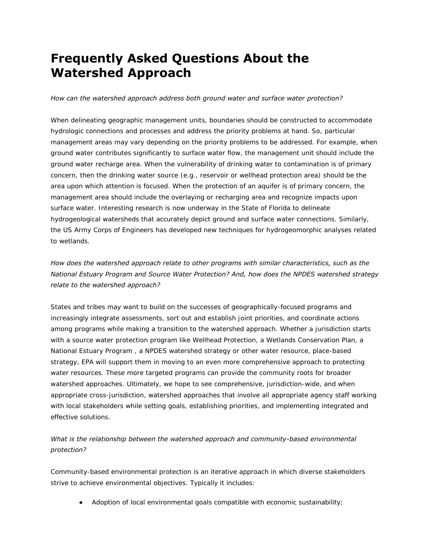## <span id="page-13-0"></span>**Frequently Asked Questions About the Watershed Approach**

#### *How can the watershed approach address both ground water and surface water protection?*

When delineating geographic management units, boundaries should be constructed to accommodate hydrologic connections and processes and address the priority problems at hand. So, particular management areas may vary depending on the priority problems to be addressed. For example, when ground water contributes significantly to surface water flow, the management unit should include the ground water recharge area. When the vulnerability of drinking water to contamination is of primary concern, then the drinking water source (e.g., reservoir or wellhead protection area) should be the area upon which attention is focused. When the protection of an aquifer is of primary concern, the management area should include the overlaying or recharging area and recognize impacts upon surface water. Interesting research is now underway in the State of Florida to delineate hydrogeological watersheds that accurately depict ground and surface water connections. Similarly, the US Army Corps of Engineers has developed new techniques for hydrogeomorphic analyses related to wetlands.

### *How does the watershed approach relate to other programs with similar characteristics, such as the National Estuary Program and Source Water Protection? And, how does the NPDES watershed strategy relate to the watershed approach?*

States and tribes may want to build on the successes of geographically-focused programs and increasingly integrate assessments, sort out and establish joint priorities, and coordinate actions among programs while making a transition to the watershed approach. Whether a jurisdiction starts with a source water protection program like Wellhead Protection, a Wetlands Conservation Plan, a National Estuary Program , a NPDES watershed strategy or other water resource, place-based strategy, EPA will support them in moving to an even more comprehensive approach to protecting water resources. These more targeted programs can provide the community roots for broader watershed approaches. Ultimately, we hope to see comprehensive, jurisdiction-wide, and when appropriate cross-jurisdiction, watershed approaches that involve all appropriate agency staff working with local stakeholders while setting goals, establishing priorities, and implementing integrated and effective solutions.

### *What is the relationship between the watershed approach and community-based environmental protection?*

Community-based environmental protection is an iterative approach in which diverse stakeholders strive to achieve environmental objectives. Typically it includes:

Adoption of local environmental goals compatible with economic sustainability;